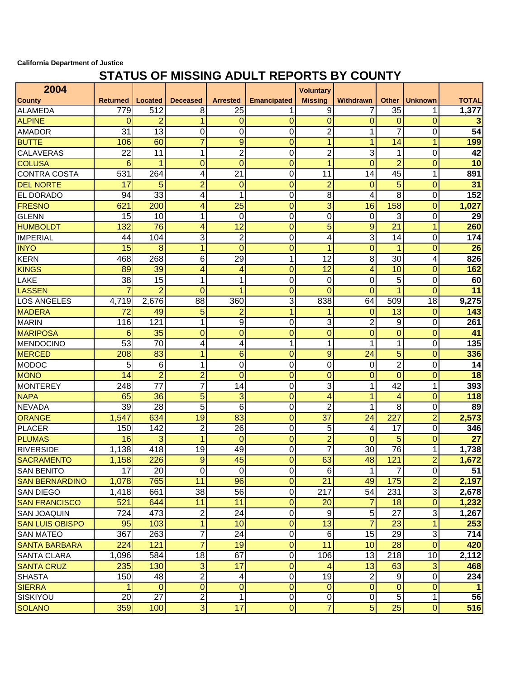## **California Department of Justice**

## **STATUS OF MISSING ADULT REPORTS BY COUNTY**

| 2004                   |                 |                 |                 |                 |                    | <b>Voluntary</b> |                 |                 |                |                 |
|------------------------|-----------------|-----------------|-----------------|-----------------|--------------------|------------------|-----------------|-----------------|----------------|-----------------|
| County                 | <b>Returned</b> | Located         | <b>Deceased</b> | <b>Arrested</b> | <b>Emancipated</b> | <b>Missing</b>   | Withdrawn       | <b>Other</b>    | <b>Unknown</b> | <b>TOTAL</b>    |
| <b>ALAMEDA</b>         | 779             | 512             | 8               | 25              |                    | 9                |                 | 35              |                | 1,377           |
| <b>ALPINE</b>          | 0               | 2               | 1               | $\mathbf 0$     | 0                  | $\mathbf 0$      | 0               | 0               | $\mathbf 0$    | 3               |
| <b>AMADOR</b>          | 31              | 13              | 0               | 0               | 0                  | $\overline{c}$   | 1               | $\overline{7}$  | 0              | $\overline{54}$ |
| <b>BUTTE</b>           | 106             | 60              | $\overline{7}$  | 9               | $\overline{0}$     | 1                | 1               | 14              | 1              | 199             |
| <b>CALAVERAS</b>       | $\overline{22}$ | 11              | 1               | $\overline{2}$  | 0                  | $\overline{2}$   | 3               | 1               | 0              | 42              |
| <b>COLUSA</b>          | 6               | 1               | 0               | $\overline{0}$  | $\overline{0}$     | 1                | $\mathbf{0}$    | $\overline{2}$  | 0              | 10              |
| <b>CONTRA COSTA</b>    | 531             | 264             | 4               | $\overline{21}$ | 0                  | 11               | 14              | 45              | 1              | 891             |
| <b>DEL NORTE</b>       | 17              | 5               | $\overline{2}$  | $\mathbf 0$     | 0                  | $\overline{2}$   | 0               | $\overline{5}$  | 0              | 31              |
| EL DORADO              | 94              | $\overline{33}$ | 4               | 1               | 0                  | $\overline{8}$   | 4               | 8               | 0              | 152             |
| <b>FRESNO</b>          | 621             | 200             | 4               | 25              | $\overline{0}$     | $\overline{3}$   | 16              | 158             | $\Omega$       | 1,027           |
| <b>GLENN</b>           | 15              | 10              | 1               | 0               | 0                  | $\mathbf 0$      | 0               | 3               | 0              | 29              |
| <b>HUMBOLDT</b>        | 132             | 76              | 4               | 12              | $\overline{0}$     | 5                | 9               | 21              | 1              | 260             |
| <b>IMPERIAL</b>        | 44              | 104             | 3               | $\overline{2}$  | 0                  | 4                | 3               | 14              | 0              | 174             |
| <b>INYO</b>            | 15              | 8               | $\overline{1}$  | $\overline{0}$  | $\overline{0}$     | 1                | $\overline{0}$  | $\mathbf{1}$    | $\overline{0}$ | 26              |
| <b>KERN</b>            | 468             | 268             | 6               | 29              | 1                  | 12               | 8               | 30              | 4              | 826             |
| <b>KINGS</b>           | 89              | 39              | 4               | 4               | $\overline{0}$     | 12               | 4               | 10              | 0              | 162             |
| LAKE                   | 38              | 15              | 1               | 1               | 0                  | 0                | 0               | 5               | 0              | 60              |
| <b>LASSEN</b>          | 7               | $\overline{2}$  | $\overline{0}$  | 1               | $\overline{0}$     | $\overline{0}$   | $\overline{0}$  | $\overline{1}$  | $\Omega$       | 11              |
| <b>LOS ANGELES</b>     | 4,719           | 2,676           | 88              | 360             | 3                  | 838              | 64              | 509             | 18             | 9,275           |
| <b>MADERA</b>          | 72              | 49              | 5               | $\overline{2}$  | 1                  | 1                | $\mathbf 0$     | 13              | $\mathbf 0$    | 143             |
| <b>MARIN</b>           | 116             | 121             | 1               | 9               | 0                  | 3                | $\overline{2}$  | 9               | 0              | 261             |
| <b>MARIPOSA</b>        | 6               | 35              | 0               | $\overline{0}$  | $\overline{0}$     | $\overline{0}$   | $\mathbf{0}$    | $\overline{0}$  | $\mathbf 0$    | 41              |
| <b>MENDOCINO</b>       | 53              | 70              | 4               | 4               | 1                  | 1                | 1               | 1               | 0              | 135             |
| <b>MERCED</b>          | 208             | 83              | 1               | 6               | 0                  | 9                | 24              | $\overline{5}$  | 0              | 336             |
| <b>MODOC</b>           | 5               | 6               | 1               | 0               | 0                  | 0                | 0               | $\overline{2}$  | 0              | 14              |
| <b>MONO</b>            | 14              | $\overline{2}$  | $\overline{c}$  | $\overline{0}$  | $\overline{0}$     | $\mathbf 0$      | $\overline{0}$  | $\overline{0}$  | $\mathbf 0$    | $\overline{18}$ |
| <b>MONTEREY</b>        | 248             | 77              | 7               | 14              | 0                  | 3                | 1               | 42              | 1              | 393             |
| <b>NAPA</b>            | 65              | 36              | 5               | 3               | $\overline{0}$     | 4                | 1               | 4               | 0              | 118             |
| <b>NEVADA</b>          | 39              | 28              | 5               | 6               | 0                  | $\overline{2}$   | 1               | 8               | 0              | 89              |
| <b>ORANGE</b>          | 1,547           | 634             | $\overline{19}$ | 83              | $\overline{0}$     | $\overline{37}$  | 24              | 227             | $\overline{2}$ | 2,573           |
| <b>PLACER</b>          | 150             | 142             | $\overline{2}$  | 26              | 0                  | 5                | 4               | 17              | $\Omega$       | 346             |
| <b>PLUMAS</b>          | 16              | 3               | 1               | $\mathbf 0$     | $\overline{0}$     | $\overline{2}$   | 0               | 5               | 0              | $\overline{27}$ |
| <b>RIVERSIDE</b>       | 1,138           | 418             | 19              | 49              | 0                  | 7                | 30              | $\overline{76}$ | 1              | 1,738           |
| <b>SACRAMENTO</b>      | 1,158           | 226             | 9               | $\overline{45}$ | $\overline{0}$     | 63               | 48              | 121             | $\overline{2}$ | 1,672           |
| <b>SAN BENITO</b>      | 17              | 20              | $\overline{0}$  | $\mathbf 0$     | $\overline{0}$     | 6                | $\mathbf 1$     | 7 <sup>1</sup>  | $\overline{0}$ | 51              |
| <b>SAN BERNARDINO</b>  | 1,078           | 765             | 11              | 96              | $\mathbf 0$        | $\overline{21}$  | 49              | 175             | $\overline{2}$ | 2,197           |
| <b>SAN DIEGO</b>       | 1,418           | 661             | 38              | 56              | $\pmb{0}$          | 217              | 54              | 231             | 3              | 2,678           |
| <b>SAN FRANCISCO</b>   | 521             | 644             | 11              | 11              | $\mathbf 0$        | 20               | 7               | 18              | $\mathbf 0$    | 1,232           |
| <b>SAN JOAQUIN</b>     | 724             | 473             | $\sqrt{2}$      | 24              | 0                  | $\boldsymbol{9}$ | $\overline{5}$  | 27              | 3              | 1,267           |
| <b>SAN LUIS OBISPO</b> | 95              | 103             | $\mathbf{1}$    | 10              | $\mathbf 0$        | 13               | $\overline{7}$  | 23              | 1              | 253             |
| <b>SAN MATEO</b>       | 367             | 263             | 7               | $\overline{24}$ | $\pmb{0}$          | $\,6$            | 15              | 29              | 3              | 714             |
| <b>SANTA BARBARA</b>   | 224             | 121             | $\overline{7}$  | 19              | 0                  | 11               | 10              | 28              | $\mathbf{0}$   | 420             |
| <b>SANTA CLARA</b>     | 1,096           | 584             | 18              | 67              | $\pmb{0}$          | 106              | 13              | 218             | 10             | 2,112           |
| <b>SANTA CRUZ</b>      | 235             | 130             | 3               | 17              | $\mathbf 0$        | 4                | 13              | 63              | 3              | 468             |
| <b>SHASTA</b>          | 150             | 48              | $\overline{2}$  | 4               | $\pmb{0}$          | 19               | 2               | $9\,$           | $\mathbf 0$    | 234             |
| <b>SIERRA</b>          |                 | $\overline{0}$  | 0               | 0               | $\mathbf 0$        | 0                | $\overline{0}$  | 0               | $\mathbf{0}$   |                 |
| SISKIYOU               | 20              | $\overline{27}$ | $\overline{2}$  | 1               | $\overline{0}$     | $\overline{0}$   | ō               | 5               | 1              | 56              |
| <b>SOLANO</b>          | 359             | 100             | 3 <sup>1</sup>  | 17              | $\overline{0}$     | $\overline{7}$   | $5\overline{)}$ | $\overline{25}$ | $\pmb{0}$      | 516             |